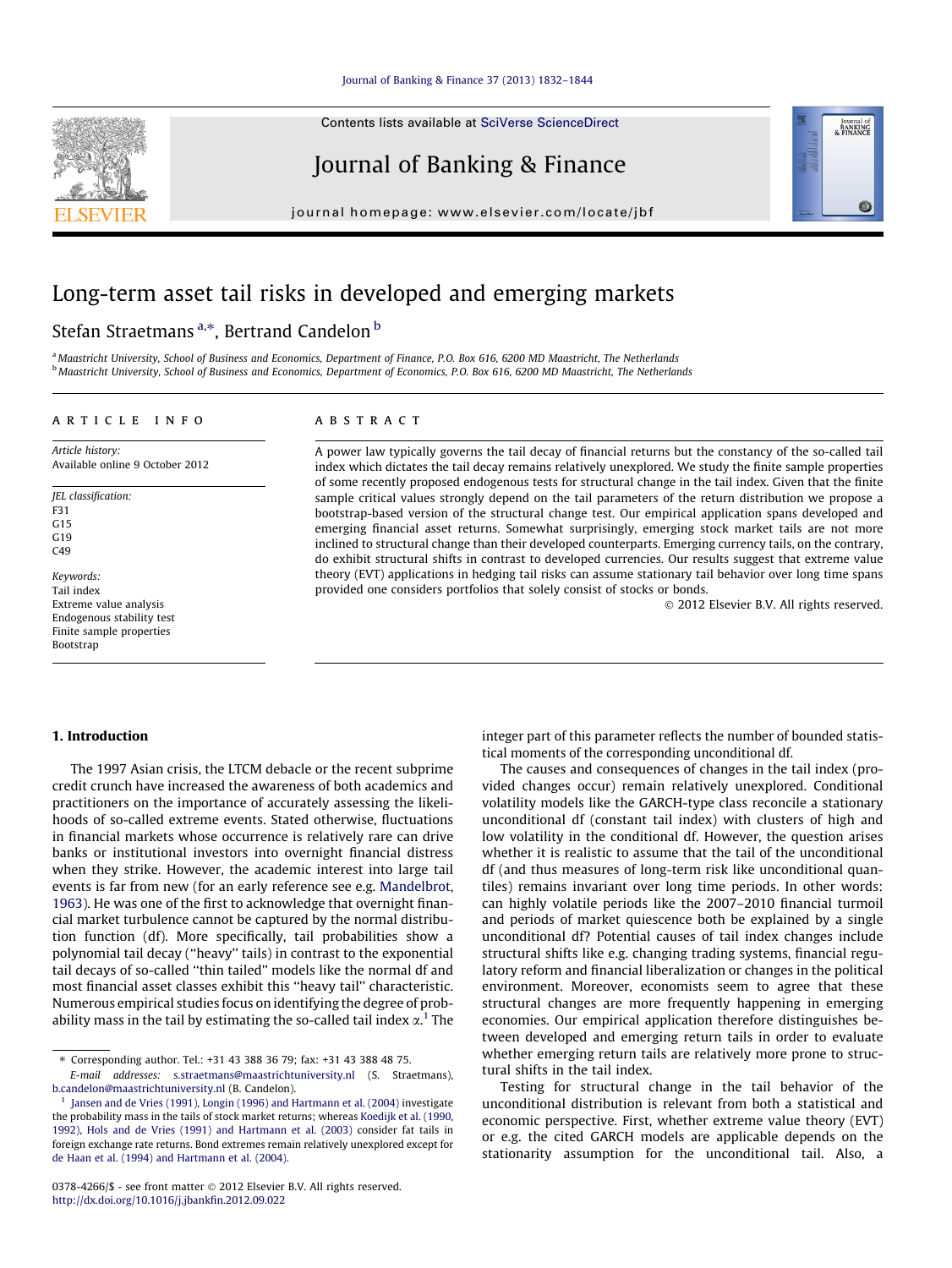Contents lists available at [SciVerse ScienceDirect](http://www.sciencedirect.com/science/journal/03784266)

### Journal of Banking & Finance

journal homepage: [www.elsevier.com/locate/jbf](http://www.elsevier.com/locate/jbf)

## Long-term asset tail risks in developed and emerging markets

### Stefan Straetmans <sup>a,</sup>\*, Bertrand Candelon <sup>b</sup>

a Maastricht University, School of Business and Economics, Department of Finance, P.O. Box 616, 6200 MD Maastricht, The Netherlands <sup>b</sup> Maastricht University, School of Business and Economics, Department of Economics, P.O. Box 616, 6200 MD Maastricht, The Netherlands

#### article info

**ABSTRACT** 

Article history: Available online 9 October 2012

JEL classification: F31 G15  $C<sub>19</sub>$ C<sub>49</sub>

Keywords: Tail index Extreme value analysis Endogenous stability test Finite sample properties Bootstrap

A power law typically governs the tail decay of financial returns but the constancy of the so-called tail index which dictates the tail decay remains relatively unexplored. We study the finite sample properties of some recently proposed endogenous tests for structural change in the tail index. Given that the finite sample critical values strongly depend on the tail parameters of the return distribution we propose a bootstrap-based version of the structural change test. Our empirical application spans developed and emerging financial asset returns. Somewhat surprisingly, emerging stock market tails are not more inclined to structural change than their developed counterparts. Emerging currency tails, on the contrary, do exhibit structural shifts in contrast to developed currencies. Our results suggest that extreme value theory (EVT) applications in hedging tail risks can assume stationary tail behavior over long time spans provided one considers portfolios that solely consist of stocks or bonds.

- 2012 Elsevier B.V. All rights reserved.

Journal of<br>BANKING<br>& FINANCE

6

#### 1. Introduction

The 1997 Asian crisis, the LTCM debacle or the recent subprime credit crunch have increased the awareness of both academics and practitioners on the importance of accurately assessing the likelihoods of so-called extreme events. Stated otherwise, fluctuations in financial markets whose occurrence is relatively rare can drive banks or institutional investors into overnight financial distress when they strike. However, the academic interest into large tail events is far from new (for an early reference see e.g. [Mandelbrot,](#page--1-0) [1963\)](#page--1-0). He was one of the first to acknowledge that overnight financial market turbulence cannot be captured by the normal distribution function (df). More specifically, tail probabilities show a polynomial tail decay (''heavy'' tails) in contrast to the exponential tail decays of so-called ''thin tailed'' models like the normal df and most financial asset classes exhibit this ''heavy tail'' characteristic. Numerous empirical studies focus on identifying the degree of probability mass in the tail by estimating the so-called tail index  $\alpha$ .<sup>1</sup> The

E-mail addresses: [s.straetmans@maastrichtuniversity.nl](mailto:s.straetmans@maastrichtuniversity.nl) (S. Straetmans), [b.candelon@maastrichtuniversity.nl](mailto:b.candelon@maastrichtuniversity.nl) (B. Candelon).

integer part of this parameter reflects the number of bounded statistical moments of the corresponding unconditional df.

The causes and consequences of changes in the tail index (provided changes occur) remain relatively unexplored. Conditional volatility models like the GARCH-type class reconcile a stationary unconditional df (constant tail index) with clusters of high and low volatility in the conditional df. However, the question arises whether it is realistic to assume that the tail of the unconditional df (and thus measures of long-term risk like unconditional quantiles) remains invariant over long time periods. In other words: can highly volatile periods like the 2007–2010 financial turmoil and periods of market quiescence both be explained by a single unconditional df? Potential causes of tail index changes include structural shifts like e.g. changing trading systems, financial regulatory reform and financial liberalization or changes in the political environment. Moreover, economists seem to agree that these structural changes are more frequently happening in emerging economies. Our empirical application therefore distinguishes between developed and emerging return tails in order to evaluate whether emerging return tails are relatively more prone to structural shifts in the tail index.

Testing for structural change in the tail behavior of the unconditional distribution is relevant from both a statistical and economic perspective. First, whether extreme value theory (EVT) or e.g. the cited GARCH models are applicable depends on the stationarity assumption for the unconditional tail. Also, a



<sup>⇑</sup> Corresponding author. Tel.: +31 43 388 36 79; fax: +31 43 388 48 75.

<sup>&</sup>lt;sup>1</sup> [Jansen and de Vries \(1991\), Longin \(1996\) and Hartmann et al. \(2004\)](#page--1-0) investigate the probability mass in the tails of stock market returns; whereas [Koedijk et al. \(1990,](#page--1-0) [1992\), Hols and de Vries \(1991\) and Hartmann et al. \(2003\)](#page--1-0) consider fat tails in foreign exchange rate returns. Bond extremes remain relatively unexplored except for [de Haan et al. \(1994\) and Hartmann et al. \(2004\)](#page--1-0).

<sup>0378-4266/\$ -</sup> see front matter © 2012 Elsevier B.V. All rights reserved. <http://dx.doi.org/10.1016/j.jbankfin.2012.09.022>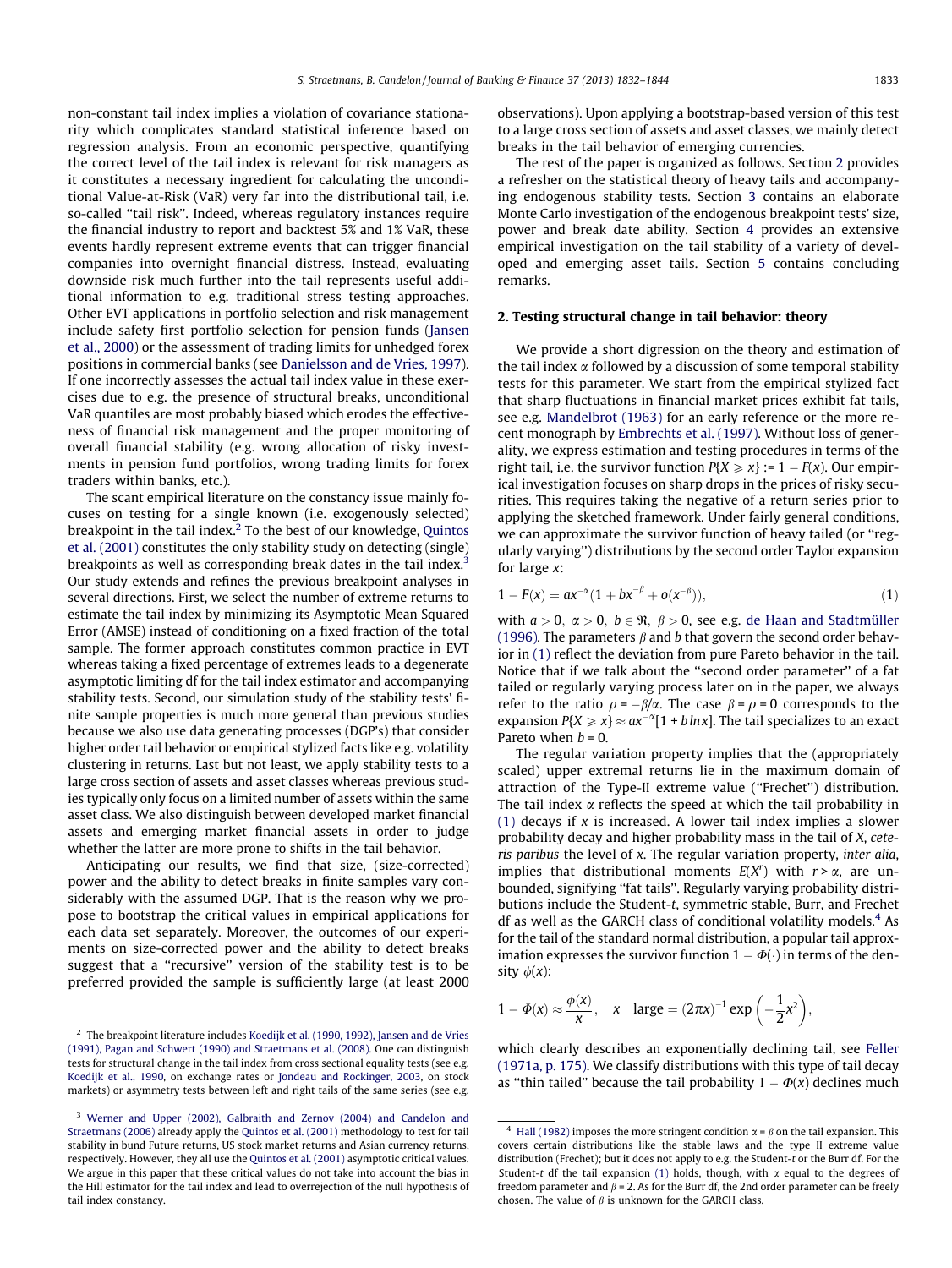non-constant tail index implies a violation of covariance stationarity which complicates standard statistical inference based on regression analysis. From an economic perspective, quantifying the correct level of the tail index is relevant for risk managers as it constitutes a necessary ingredient for calculating the unconditional Value-at-Risk (VaR) very far into the distributional tail, i.e. so-called ''tail risk''. Indeed, whereas regulatory instances require the financial industry to report and backtest 5% and 1% VaR, these events hardly represent extreme events that can trigger financial companies into overnight financial distress. Instead, evaluating downside risk much further into the tail represents useful additional information to e.g. traditional stress testing approaches. Other EVT applications in portfolio selection and risk management include safety first portfolio selection for pension funds [\(Jansen](#page--1-0) [et al., 2000\)](#page--1-0) or the assessment of trading limits for unhedged forex positions in commercial banks (see [Danielsson and de Vries, 1997\)](#page--1-0). If one incorrectly assesses the actual tail index value in these exercises due to e.g. the presence of structural breaks, unconditional VaR quantiles are most probably biased which erodes the effectiveness of financial risk management and the proper monitoring of overall financial stability (e.g. wrong allocation of risky investments in pension fund portfolios, wrong trading limits for forex traders within banks, etc.).

The scant empirical literature on the constancy issue mainly focuses on testing for a single known (i.e. exogenously selected) breakpoint in the tail index.<sup>2</sup> To the best of our knowledge, [Quintos](#page--1-0) [et al. \(2001\)](#page--1-0) constitutes the only stability study on detecting (single) breakpoints as well as corresponding break dates in the tail index.<sup>3</sup> Our study extends and refines the previous breakpoint analyses in several directions. First, we select the number of extreme returns to estimate the tail index by minimizing its Asymptotic Mean Squared Error (AMSE) instead of conditioning on a fixed fraction of the total sample. The former approach constitutes common practice in EVT whereas taking a fixed percentage of extremes leads to a degenerate asymptotic limiting df for the tail index estimator and accompanying stability tests. Second, our simulation study of the stability tests' finite sample properties is much more general than previous studies because we also use data generating processes (DGP's) that consider higher order tail behavior or empirical stylized facts like e.g. volatility clustering in returns. Last but not least, we apply stability tests to a large cross section of assets and asset classes whereas previous studies typically only focus on a limited number of assets within the same asset class. We also distinguish between developed market financial assets and emerging market financial assets in order to judge whether the latter are more prone to shifts in the tail behavior.

Anticipating our results, we find that size, (size-corrected) power and the ability to detect breaks in finite samples vary considerably with the assumed DGP. That is the reason why we propose to bootstrap the critical values in empirical applications for each data set separately. Moreover, the outcomes of our experiments on size-corrected power and the ability to detect breaks suggest that a ''recursive'' version of the stability test is to be preferred provided the sample is sufficiently large (at least 2000 observations). Upon applying a bootstrap-based version of this test to a large cross section of assets and asset classes, we mainly detect breaks in the tail behavior of emerging currencies.

The rest of the paper is organized as follows. Section 2 provides a refresher on the statistical theory of heavy tails and accompanying endogenous stability tests. Section [3](#page--1-0) contains an elaborate Monte Carlo investigation of the endogenous breakpoint tests' size, power and break date ability. Section [4](#page--1-0) provides an extensive empirical investigation on the tail stability of a variety of developed and emerging asset tails. Section [5](#page--1-0) contains concluding remarks.

#### 2. Testing structural change in tail behavior: theory

We provide a short digression on the theory and estimation of the tail index  $\alpha$  followed by a discussion of some temporal stability tests for this parameter. We start from the empirical stylized fact that sharp fluctuations in financial market prices exhibit fat tails, see e.g. [Mandelbrot \(1963\)](#page--1-0) for an early reference or the more recent monograph by [Embrechts et al. \(1997\)](#page--1-0). Without loss of generality, we express estimation and testing procedures in terms of the right tail, i.e. the survivor function  $P\{X \geq x\} := 1 - F(x)$ . Our empirical investigation focuses on sharp drops in the prices of risky securities. This requires taking the negative of a return series prior to applying the sketched framework. Under fairly general conditions, we can approximate the survivor function of heavy tailed (or ''regularly varying'') distributions by the second order Taylor expansion for large x:

$$
1 - F(x) = a x^{-\alpha} (1 + b x^{-\beta} + o(x^{-\beta})),
$$
\n(1)

with  $a > 0$ ,  $\alpha > 0$ ,  $b \in \Re$ ,  $\beta > 0$ , see e.g. [de Haan and Stadtmüller](#page--1-0) [\(1996\)](#page--1-0). The parameters  $\beta$  and b that govern the second order behavior in (1) reflect the deviation from pure Pareto behavior in the tail. Notice that if we talk about the ''second order parameter'' of a fat tailed or regularly varying process later on in the paper, we always refer to the ratio  $\rho = -\beta/\alpha$ . The case  $\beta = \rho = 0$  corresponds to the expansion  $P\{X \geq x\} \approx ax^{-\alpha}[1 + b\ln x]$ . The tail specializes to an exact Pareto when  $b = 0$ .

The regular variation property implies that the (appropriately scaled) upper extremal returns lie in the maximum domain of attraction of the Type-II extreme value ("Frechet") distribution. The tail index  $\alpha$  reflects the speed at which the tail probability in (1) decays if  $x$  is increased. A lower tail index implies a slower probability decay and higher probability mass in the tail of X, ceteris paribus the level of x. The regular variation property, inter alia, implies that distributional moments  $E(X<sup>r</sup>)$  with  $r > \alpha$ , are unbounded, signifying ''fat tails''. Regularly varying probability distributions include the Student-t, symmetric stable, Burr, and Frechet df as well as the GARCH class of conditional volatility models.<sup>4</sup> As for the tail of the standard normal distribution, a popular tail approximation expresses the survivor function  $1 - \Phi(\cdot)$  in terms of the density  $\phi(x)$ :

$$
1 - \Phi(x) \approx \frac{\phi(x)}{x}, \quad x \quad large = (2\pi x)^{-1} \exp\left(-\frac{1}{2}x^2\right),
$$

which clearly describes an exponentially declining tail, see [Feller](#page--1-0) [\(1971a, p. 175\)](#page--1-0). We classify distributions with this type of tail decay as "thin tailed" because the tail probability  $1 - \Phi(x)$  declines much

<sup>&</sup>lt;sup>2</sup> The breakpoint literature includes [Koedijk et al. \(1990, 1992\), Jansen and de Vries](#page--1-0) [\(1991\), Pagan and Schwert \(1990\) and Straetmans et al. \(2008\).](#page--1-0) One can distinguish tests for structural change in the tail index from cross sectional equality tests (see e.g. [Koedijk et al., 1990](#page--1-0), on exchange rates or [Jondeau and Rockinger, 2003](#page--1-0), on stock markets) or asymmetry tests between left and right tails of the same series (see e.g.

<sup>3</sup> [Werner and Upper \(2002\), Galbraith and Zernov \(2004\) and Candelon and](#page--1-0) [Straetmans \(2006\)](#page--1-0) already apply the [Quintos et al. \(2001\)](#page--1-0) methodology to test for tail stability in bund Future returns, US stock market returns and Asian currency returns, respectively. However, they all use the [Quintos et al. \(2001\)](#page--1-0) asymptotic critical values. We argue in this paper that these critical values do not take into account the bias in the Hill estimator for the tail index and lead to overrejection of the null hypothesis of tail index constancy.

 $^4\,$  [Hall \(1982\)](#page--1-0) imposes the more stringent condition  $\alpha$  =  $\beta$  on the tail expansion. This covers certain distributions like the stable laws and the type II extreme value distribution (Frechet); but it does not apply to e.g. the Student-t or the Burr df. For the Student-t df the tail expansion (1) holds, though, with  $\alpha$  equal to the degrees of freedom parameter and  $\beta$  = 2. As for the Burr df, the 2nd order parameter can be freely chosen. The value of  $\beta$  is unknown for the GARCH class.